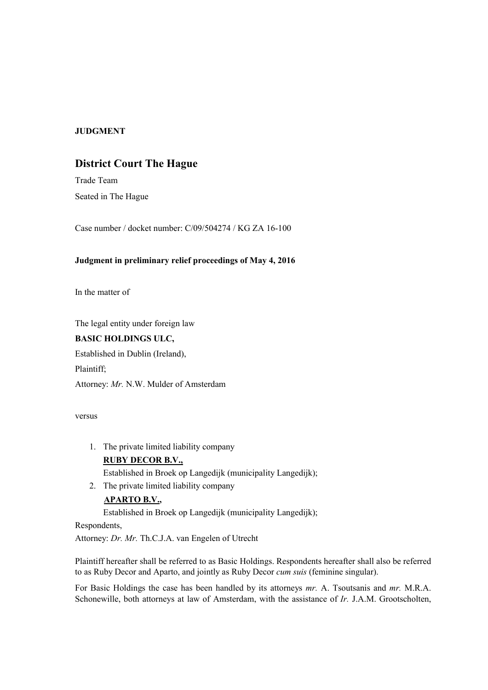## **JUDGMENT**

## **District Court The Hague**

Trade Team Seated in The Hague

Case number / docket number: C/09/504274 / KG ZA 16-100

## **Judgment in preliminary relief proceedings of May 4, 2016**

In the matter of

The legal entity under foreign law

## **BASIC HOLDINGS ULC,**

Established in Dublin (Ireland),

Plaintiff;

Attorney: *Mr.* N.W. Mulder of Amsterdam

versus

1. The private limited liability company

# **RUBY DECOR B.V.,**

Established in Broek op Langedijk (municipality Langedijk);

2. The private limited liability company

## **APARTO B.V.,**

Established in Broek op Langedijk (municipality Langedijk);

Respondents,

Attorney: *Dr. Mr.* Th.C.J.A. van Engelen of Utrecht

Plaintiff hereafter shall be referred to as Basic Holdings. Respondents hereafter shall also be referred to as Ruby Decor and Aparto, and jointly as Ruby Decor *cum suis* (feminine singular).

For Basic Holdings the case has been handled by its attorneys *mr.* A. Tsoutsanis and *mr.* M.R.A. Schonewille, both attorneys at law of Amsterdam, with the assistance of *Ir.* J.A.M. Grootscholten,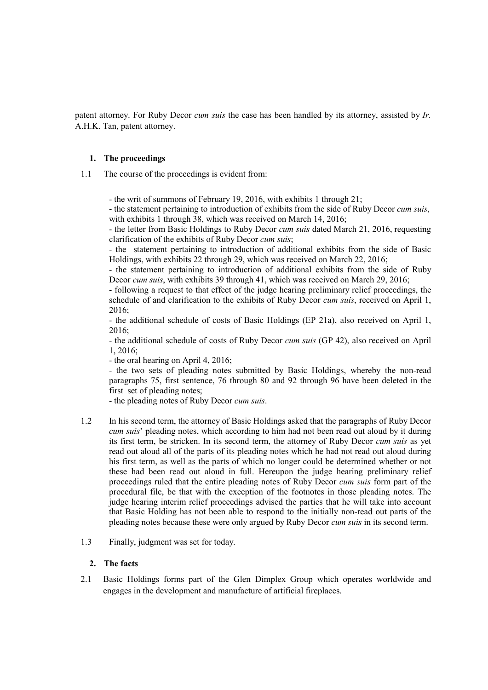patent attorney. For Ruby Decor *cum suis* the case has been handled by its attorney, assisted by *Ir.*  A.H.K. Tan, patent attorney.

## **1. The proceedings**

1.1 The course of the proceedings is evident from:

- the writ of summons of February 19, 2016, with exhibits 1 through 21;

- the statement pertaining to introduction of exhibits from the side of Ruby Decor *cum suis*, with exhibits 1 through 38, which was received on March 14, 2016;

- the letter from Basic Holdings to Ruby Decor *cum suis* dated March 21, 2016, requesting clarification of the exhibits of Ruby Decor *cum suis*;

- the statement pertaining to introduction of additional exhibits from the side of Basic Holdings, with exhibits 22 through 29, which was received on March 22, 2016;

- the statement pertaining to introduction of additional exhibits from the side of Ruby Decor *cum suis*, with exhibits 39 through 41, which was received on March 29, 2016;

- following a request to that effect of the judge hearing preliminary relief proceedings, the schedule of and clarification to the exhibits of Ruby Decor *cum suis*, received on April 1, 2016;

- the additional schedule of costs of Basic Holdings (EP 21a), also received on April 1, 2016;

- the additional schedule of costs of Ruby Decor *cum suis* (GP 42), also received on April 1, 2016;

- the oral hearing on April 4, 2016;

- the two sets of pleading notes submitted by Basic Holdings, whereby the non-read paragraphs 75, first sentence, 76 through 80 and 92 through 96 have been deleted in the first set of pleading notes;

- the pleading notes of Ruby Decor *cum suis*.

- 1.2 In his second term, the attorney of Basic Holdings asked that the paragraphs of Ruby Decor *cum suis*' pleading notes, which according to him had not been read out aloud by it during its first term, be stricken. In its second term, the attorney of Ruby Decor *cum suis* as yet read out aloud all of the parts of its pleading notes which he had not read out aloud during his first term, as well as the parts of which no longer could be determined whether or not these had been read out aloud in full. Hereupon the judge hearing preliminary relief proceedings ruled that the entire pleading notes of Ruby Decor *cum suis* form part of the procedural file, be that with the exception of the footnotes in those pleading notes. The judge hearing interim relief proceedings advised the parties that he will take into account that Basic Holding has not been able to respond to the initially non-read out parts of the pleading notes because these were only argued by Ruby Decor *cum suis* in its second term.
- 1.3 Finally, judgment was set for today.

## **2. The facts**

2.1 Basic Holdings forms part of the Glen Dimplex Group which operates worldwide and engages in the development and manufacture of artificial fireplaces.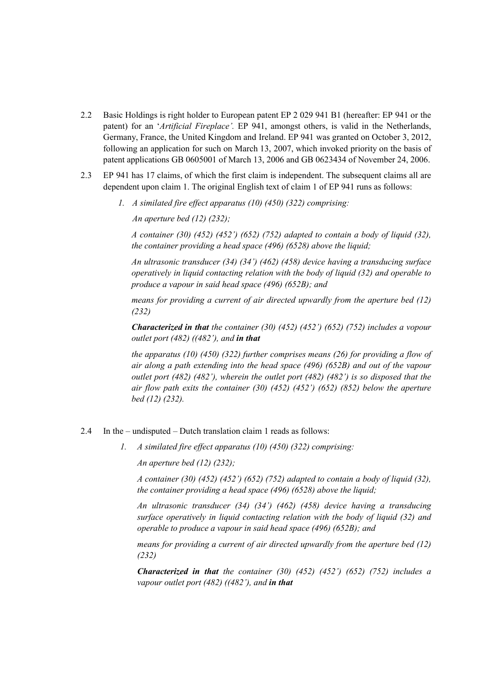- 2.2 Basic Holdings is right holder to European patent EP 2 029 941 B1 (hereafter: EP 941 or the patent) for an '*Artificial Fireplace'.* EP 941, amongst others, is valid in the Netherlands, Germany, France, the United Kingdom and Ireland. EP 941 was granted on October 3, 2012, following an application for such on March 13, 2007, which invoked priority on the basis of patent applications GB 0605001 of March 13, 2006 and GB 0623434 of November 24, 2006.
- 2.3 EP 941 has 17 claims, of which the first claim is independent. The subsequent claims all are dependent upon claim 1. The original English text of claim 1 of EP 941 runs as follows:
	- *1. A similated fire effect apparatus (10) (450) (322) comprising:*

*An aperture bed (12) (232);*

*A container (30) (452) (452') (652) (752) adapted to contain a body of liquid (32), the container providing a head space (496) (6528) above the liquid;*

*An ultrasonic transducer (34) (34') (462) (458) device having a transducing surface operatively in liquid contacting relation with the body of liquid (32) and operable to produce a vapour in said head space (496) (652B); and*

*means for providing a current of air directed upwardly from the aperture bed (12) (232)*

*Characterized in that the container (30) (452) (452') (652) (752) includes a vopour outlet port (482) ((482'), and in that*

*the apparatus (10) (450) (322) further comprises means (26) for providing a flow of air along a path extending into the head space (496) (652B) and out of the vapour outlet port (482) (482'), wherein the outlet port (482) (482') is so disposed that the air flow path exits the container (30) (452) (452') (652) (852) below the aperture bed (12) (232).*

#### 2.4 In the – undisputed – Dutch translation claim 1 reads as follows:

*1. A similated fire effect apparatus (10) (450) (322) comprising:*

*An aperture bed (12) (232);*

*A container (30) (452) (452') (652) (752) adapted to contain a body of liquid (32), the container providing a head space (496) (6528) above the liquid;*

*An ultrasonic transducer (34) (34') (462) (458) device having a transducing surface operatively in liquid contacting relation with the body of liquid (32) and operable to produce a vapour in said head space (496) (652B); and*

*means for providing a current of air directed upwardly from the aperture bed (12) (232)*

*Characterized in that the container (30) (452) (452') (652) (752) includes a vapour outlet port (482) ((482'), and in that*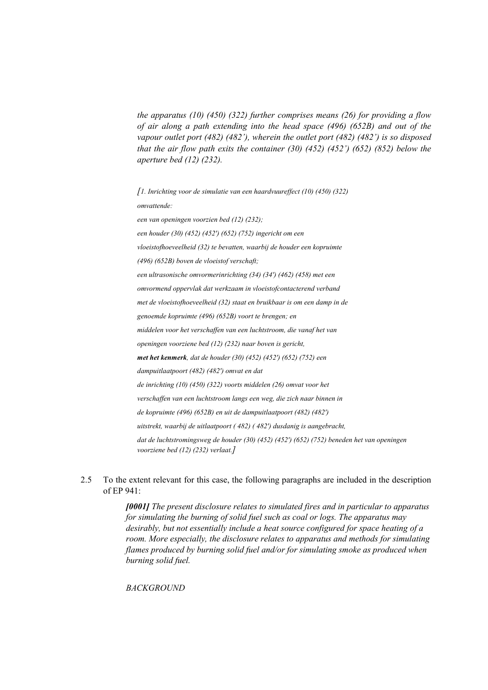*the apparatus (10) (450) (322) further comprises means (26) for providing a flow of air along a path extending into the head space (496) (652B) and out of the vapour outlet port (482) (482'), wherein the outlet port (482) (482') is so disposed that the air flow path exits the container (30) (452) (452') (652) (852) below the aperture bed (12) (232).*

*[1. Inrichting voor de simulatie van een haardvuureffect (10) (450) (322) omvattende: een van openingen voorzien bed (12) (232); een houder (30) (452) (452') (652) (752) ingericht om een vloeistofhoeveelheid (32) te bevatten, waarbij de houder een kopruimte (496) (652B) boven de vloeistof verschaft; een ultrasonische omvormerinrichting (34) (34') (462) (458) met een omvormend oppervlak dat werkzaam in vloeistofcontacterend verband met de vloeistofhoeveelheid (32) staat en bruikbaar is om een damp in de genoemde kopruimte (496) (652B) voort te brengen; en middelen voor het verschaffen van een luchtstroom, die vanaf het van openingen voorziene bed (12) (232) naar boven is gericht, met het kenmerk, dat de houder (30) (452) (452') (652) (752) een dampuitlaatpoort (482) (482') omvat en dat de inrichting (10) (450) (322) voorts middelen (26) omvat voor het verschaffen van een luchtstroom langs een weg, die zich naar binnen in de kopruimte (496) (652B) en uit de dampuitlaatpoort (482) (482') uitstrekt, waarbij de uitlaatpoort ( 482) ( 482') dusdanig is aangebracht, dat de luchtstromingsweg de houder (30) (452) (452') (652) (752) beneden het van openingen voorziene bed (12) (232) verlaat.]*

2.5 To the extent relevant for this case, the following paragraphs are included in the description of EP 941:

> *[0001] The present disclosure relates to simulated fires and in particular to apparatus for simulating the burning of solid fuel such as coal or logs. The apparatus may desirably, but not essentially include a heat source configured for space heating of a room. More especially, the disclosure relates to apparatus and methods for simulating flames produced by burning solid fuel and/or for simulating smoke as produced when burning solid fuel.*

*BACKGROUND*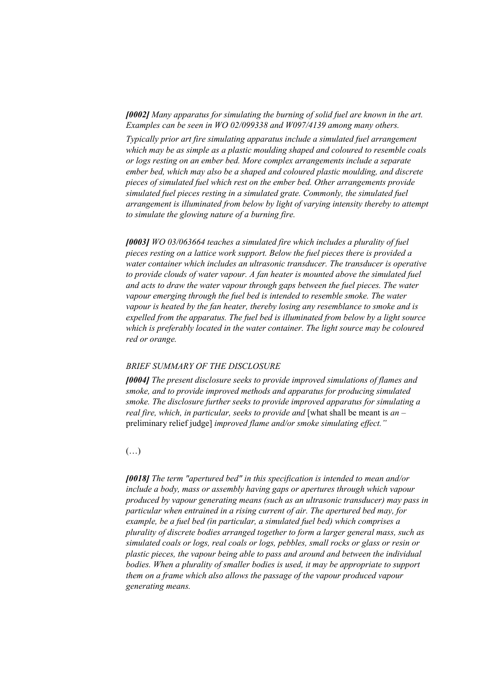*[0002] Many apparatus for simulating the burning of solid fuel are known in the art. Examples can be seen in WO 02/099338 and W097/4139 among many others.*

*Typically prior art fire simulating apparatus include a simulated fuel arrangement which may be as simple as a plastic moulding shaped and coloured to resemble coals or logs resting on an ember bed. More complex arrangements include a separate ember bed, which may also be a shaped and coloured plastic moulding, and discrete pieces of simulated fuel which rest on the ember bed. Other arrangements provide simulated fuel pieces resting in a simulated grate. Commonly, the simulated fuel arrangement is illuminated from below by light of varying intensity thereby to attempt to simulate the glowing nature of a burning fire.*

*[0003] WO 03/063664 teaches a simulated fire which includes a plurality of fuel pieces resting on a lattice work support. Below the fuel pieces there is provided a water container which includes an ultrasonic transducer. The transducer is operative to provide clouds of water vapour. A fan heater is mounted above the simulated fuel and acts to draw the water vapour through gaps between the fuel pieces. The water vapour emerging through the fuel bed is intended to resemble smoke. The water vapour is heated by the fan heater, thereby losing any resemblance to smoke and is expelled from the apparatus. The fuel bed is illuminated from below by a light source which is preferably located in the water container. The light source may be coloured red or orange.*

#### *BRIEF SUMMARY OF THE DISCLOSURE*

*[0004] The present disclosure seeks to provide improved simulations of flames and smoke, and to provide improved methods and apparatus for producing simulated smoke. The disclosure further seeks to provide improved apparatus for simulating a real fire, which, in particular, seeks to provide and* [what shall be meant is *an* – preliminary relief judge] *improved flame and/or smoke simulating effect."*

#### $(\ldots)$

*[0018] The term "apertured bed" in this specification is intended to mean and/or include a body, mass or assembly having gaps or apertures through which vapour produced by vapour generating means (such as an ultrasonic transducer) may pass in particular when entrained in a rising current of air. The apertured bed may, for example, be a fuel bed (in particular, a simulated fuel bed) which comprises a plurality of discrete bodies arranged together to form a larger general mass, such as simulated coals or logs, real coals or logs, pebbles, small rocks or glass or resin or plastic pieces, the vapour being able to pass and around and between the individual bodies. When a plurality of smaller bodies is used, it may be appropriate to support them on a frame which also allows the passage of the vapour produced vapour generating means.*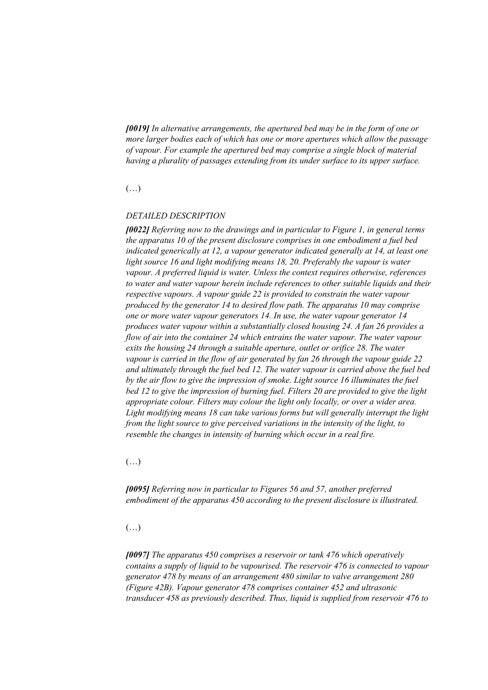*[0019] In alternative arrangements, the apertured bed may be in the form of one or more larger bodies each of which has one or more apertures which allow the passage of vapour. For example the apertured bed may comprise a single block of material having a plurality of passages extending from its under surface to its upper surface.*

## (…)

#### *DETAILED DESCRIPTION*

*[0022] Referring now to the drawings and in particular to Figure 1, in general terms the apparatus 10 of the present disclosure comprises in one embodiment a fuel bed indicated generically at 12, a vapour generator indicated generally at 14, at least one light source 16 and light modifying means 18, 20. Preferably the vapour is water vapour. A preferred liquid is water. Unless the context requires otherwise, references to water and water vapour herein include references to other suitable liquids and their respective vapours. A vapour guide 22 is provided to constrain the water vapour produced by the generator 14 to desired flow path. The apparatus 10 may comprise one or more water vapour generators 14. In use, the water vapour generator 14 produces water vapour within a substantially closed housing 24. A fan 26 provides a flow of air into the container 24 which entrains the water vapour. The water vapour exits the housing 24 through a suitable aperture, outlet or orifice 28. The water vapour is carried in the flow of air generated by fan 26 through the vapour guide 22 and ultimately through the fuel bed 12. The water vapour is carried above the fuel bed by the air flow to give the impression of smoke. Light source 16 illuminates the fuel bed 12 to give the impression of burning fuel. Filters 20 are provided to give the light appropriate colour. Filters may colour the light only locally, or over a wider area. Light modifying means 18 can take various forms but will generally interrupt the light from the light source to give perceived variations in the intensity of the light, to resemble the changes in intensity of burning which occur in a real fire.*

 $(\ldots)$ 

*[0095] Referring now in particular to Figures 56 and 57, another preferred embodiment of the apparatus 450 according to the present disclosure is illustrated.*

#### $(\ldots)$

*[0097] The apparatus 450 comprises a reservoir or tank 476 which operatively contains a supply of liquid to be vapourised. The reservoir 476 is connected to vapour generator 478 by means of an arrangement 480 similar to valve arrangement 280 (Figure 42B). Vapour generator 478 comprises container 452 and ultrasonic transducer 458 as previously described. Thus, liquid is supplied from reservoir 476 to*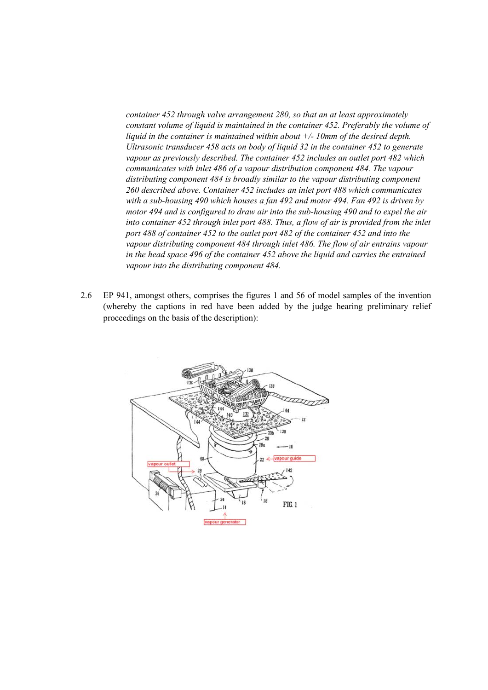*container 452 through valve arrangement 280, so that an at least approximately constant volume of liquid is maintained in the container 452. Preferably the volume of liquid in the container is maintained within about +/- 10mm of the desired depth. Ultrasonic transducer 458 acts on body of liquid 32 in the container 452 to generate vapour as previously described. The container 452 includes an outlet port 482 which communicates with inlet 486 of a vapour distribution component 484. The vapour distributing component 484 is broadly similar to the vapour distributing component 260 described above. Container 452 includes an inlet port 488 which communicates with a sub-housing 490 which houses a fan 492 and motor 494. Fan 492 is driven by motor 494 and is configured to draw air into the sub-housing 490 and to expel the air into container 452 through inlet port 488. Thus, a flow of air is provided from the inlet port 488 of container 452 to the outlet port 482 of the container 452 and into the vapour distributing component 484 through inlet 486. The flow of air entrains vapour in the head space 496 of the container 452 above the liquid and carries the entrained vapour into the distributing component 484.*

2.6 EP 941, amongst others, comprises the figures 1 and 56 of model samples of the invention (whereby the captions in red have been added by the judge hearing preliminary relief proceedings on the basis of the description):

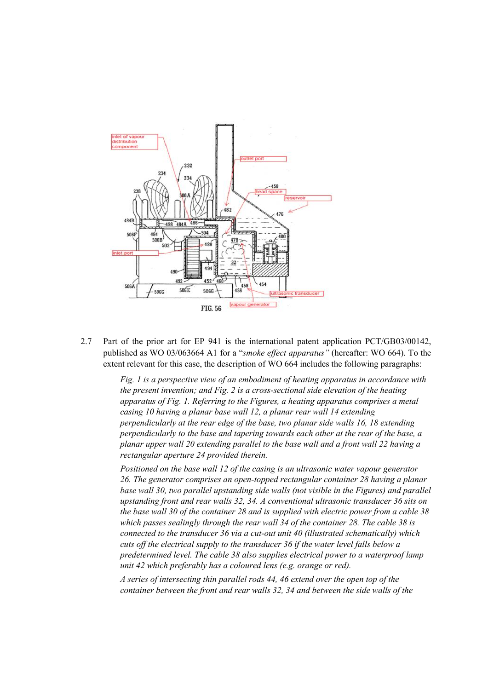

2.7 Part of the prior art for EP 941 is the international patent application PCT/GB03/00142, published as WO 03/063664 A1 for a "*smoke effect apparatus"* (hereafter: WO 664). To the extent relevant for this case, the description of WO 664 includes the following paragraphs:

> *Fig. 1 is a perspective view of an embodiment of heating apparatus in accordance with the present invention; and Fig. 2 is a cross-sectional side elevation of the heating apparatus of Fig. 1. Referring to the Figures, a heating apparatus comprises a metal casing 10 having a planar base wall 12, a planar rear wall 14 extending perpendicularly at the rear edge of the base, two planar side walls 16, 18 extending perpendicularly to the base and tapering towards each other at the rear of the base, a planar upper wall 20 extending parallel to the base wall and a front wall 22 having a rectangular aperture 24 provided therein.*

*Positioned on the base wall 12 of the casing is an ultrasonic water vapour generator 26. The generator comprises an open-topped rectangular container 28 having a planar*  base wall 30, two parallel upstanding side walls (not visible in the Figures) and parallel *upstanding front and rear walls 32, 34. A conventional ultrasonic transducer 36 sits on the base wall 30 of the container 28 and is supplied with electric power from a cable 38 which passes sealingly through the rear wall 34 of the container 28. The cable 38 is connected to the transducer 36 via a cut-out unit 40 (illustrated schematically) which cuts off the electrical supply to the transducer 36 if the water level falls below a predetermined level. The cable 38 also supplies electrical power to a waterproof lamp unit 42 which preferably has a coloured lens (e.g. orange or red).*

*A series of intersecting thin parallel rods 44, 46 extend over the open top of the container between the front and rear walls 32, 34 and between the side walls of the*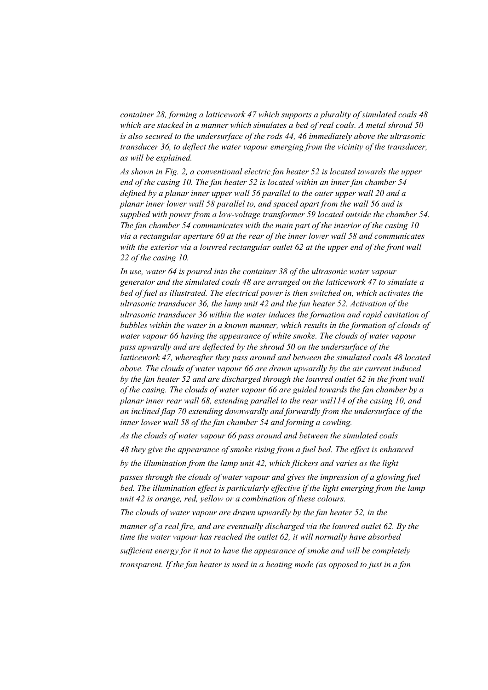*container 28, forming a latticework 47 which supports a plurality of simulated coals 48 which are stacked in a manner which simulates a bed of real coals. A metal shroud 50 is also secured to the undersurface of the rods 44, 46 immediately above the ultrasonic transducer 36, to deflect the water vapour emerging from the vicinity of the transducer, as will be explained.*

*As shown in Fig. 2, a conventional electric fan heater 52 is located towards the upper end of the casing 10. The fan heater 52 is located within an inner fan chamber 54 defined by a planar inner upper wall 56 parallel to the outer upper wall 20 and a planar inner lower wall 58 parallel to, and spaced apart from the wall 56 and is supplied with power from a low-voltage transformer 59 located outside the chamber 54. The fan chamber 54 communicates with the main part of the interior of the casing 10 via a rectangular aperture 60 at the rear of the inner lower wall 58 and communicates with the exterior via a louvred rectangular outlet 62 at the upper end of the front wall 22 of the casing 10.*

*In use, water 64 is poured into the container 38 of the ultrasonic water vapour generator and the simulated coals 48 are arranged on the latticework 47 to simulate a bed of fuel as illustrated. The electrical power is then switched on, which activates the ultrasonic transducer 36, the lamp unit 42 and the fan heater 52. Activation of the ultrasonic transducer 36 within the water induces the formation and rapid cavitation of bubbles within the water in a known manner, which results in the formation of clouds of water vapour 66 having the appearance of white smoke. The clouds of water vapour pass upwardly and are deflected by the shroud 50 on the undersurface of the latticework 47, whereafter they pass around and between the simulated coals 48 located above. The clouds of water vapour 66 are drawn upwardly by the air current induced by the fan heater 52 and are discharged through the louvred outlet 62 in the front wall of the casing. The clouds of water vapour 66 are guided towards the fan chamber by a planar inner rear wall 68, extending parallel to the rear wal114 of the casing 10, and an inclined flap 70 extending downwardly and forwardly from the undersurface of the inner lower wall 58 of the fan chamber 54 and forming a cowling.*

*As the clouds of water vapour 66 pass around and between the simulated coals*

*48 they give the appearance of smoke rising from a fuel bed. The effect is enhanced*

*by the illumination from the lamp unit 42, which flickers and varies as the light*

*passes through the clouds of water vapour and gives the impression of a glowing fuel*  bed. The illumination effect is particularly effective if the light emerging from the lamp *unit 42 is orange, red, yellow or a combination of these colours.*

*The clouds of water vapour are drawn upwardly by the fan heater 52, in the*

*manner of a real fire, and are eventually discharged via the louvred outlet 62. By the time the water vapour has reached the outlet 62, it will normally have absorbed sufficient energy for it not to have the appearance of smoke and will be completely transparent. If the fan heater is used in a heating mode (as opposed to just in a fan*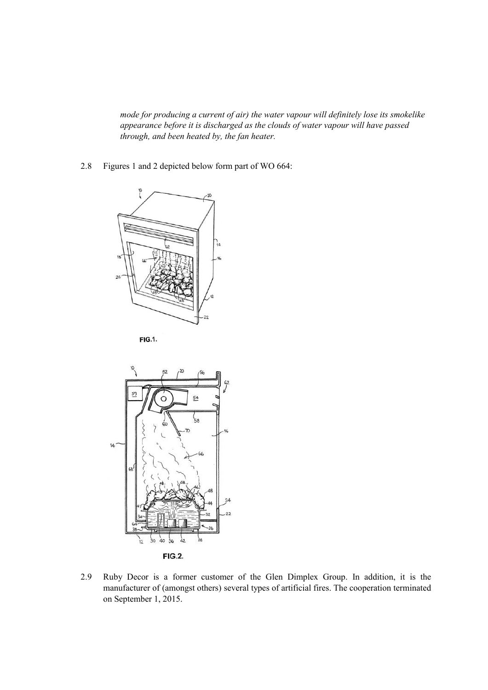*mode for producing a current of air) the water vapour will definitely lose its smokelike appearance before it is discharged as the clouds of water vapour will have passed through, and been heated by, the fan heater.*

2.8 Figures 1 and 2 depicted below form part of WO 664:







2.9 Ruby Decor is a former customer of the Glen Dimplex Group. In addition, it is the manufacturer of (amongst others) several types of artificial fires. The cooperation terminated on September 1, 2015.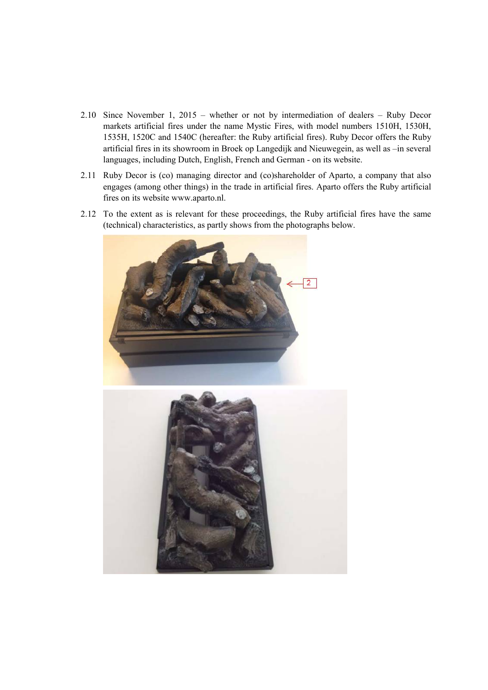- 2.10 Since November 1, 2015 whether or not by intermediation of dealers Ruby Decor markets artificial fires under the name Mystic Fires, with model numbers 1510H, 1530H, 1535H, 1520C and 1540C (hereafter: the Ruby artificial fires). Ruby Decor offers the Ruby artificial fires in its showroom in Broek op Langedijk and Nieuwegein, as well as –in several languages, including Dutch, English, French and German - on its website.
- 2.11 Ruby Decor is (co) managing director and (co)shareholder of Aparto, a company that also engages (among other things) in the trade in artificial fires. Aparto offers the Ruby artificial fires on its website www.aparto.nl.
- 2.12 To the extent as is relevant for these proceedings, the Ruby artificial fires have the same (technical) characteristics, as partly shows from the photographs below.



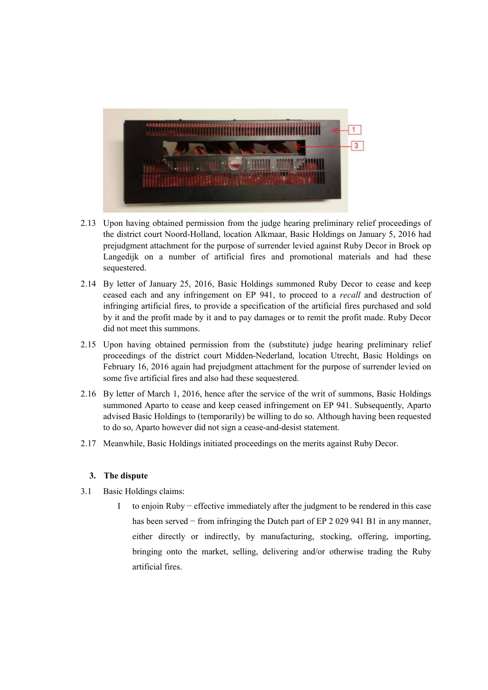

- 2.13 Upon having obtained permission from the judge hearing preliminary relief proceedings of the district court Noord-Holland, location Alkmaar, Basic Holdings on January 5, 2016 had prejudgment attachment for the purpose of surrender levied against Ruby Decor in Broek op Langedijk on a number of artificial fires and promotional materials and had these sequestered.
- 2.14 By letter of January 25, 2016, Basic Holdings summoned Ruby Decor to cease and keep ceased each and any infringement on EP 941, to proceed to a *recall* and destruction of infringing artificial fires, to provide a specification of the artificial fires purchased and sold by it and the profit made by it and to pay damages or to remit the profit made. Ruby Decor did not meet this summons.
- 2.15 Upon having obtained permission from the (substitute) judge hearing preliminary relief proceedings of the district court Midden-Nederland, location Utrecht, Basic Holdings on February 16, 2016 again had prejudgment attachment for the purpose of surrender levied on some five artificial fires and also had these sequestered.
- 2.16 By letter of March 1, 2016, hence after the service of the writ of summons, Basic Holdings summoned Aparto to cease and keep ceased infringement on EP 941. Subsequently, Aparto advised Basic Holdings to (temporarily) be willing to do so. Although having been requested to do so, Aparto however did not sign a cease-and-desist statement.
- 2.17 Meanwhile, Basic Holdings initiated proceedings on the merits against Ruby Decor.

## **3. The dispute**

- 3.1 Basic Holdings claims:
	- I to enjoin Ruby − effective immediately after the judgment to be rendered in this case has been served – from infringing the Dutch part of EP 2 029 941 B1 in any manner, either directly or indirectly, by manufacturing, stocking, offering, importing, bringing onto the market, selling, delivering and/or otherwise trading the Ruby artificial fires.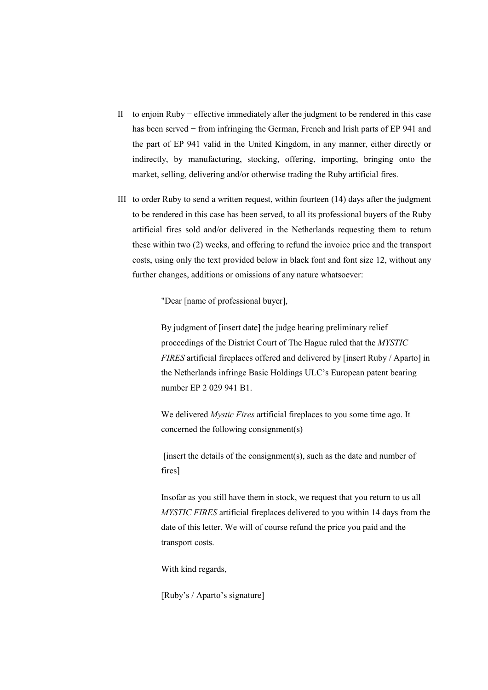- II to enjoin Ruby − effective immediately after the judgment to be rendered in this case has been served − from infringing the German, French and Irish parts of EP 941 and the part of EP 941 valid in the United Kingdom, in any manner, either directly or indirectly, by manufacturing, stocking, offering, importing, bringing onto the market, selling, delivering and/or otherwise trading the Ruby artificial fires.
- III to order Ruby to send a written request, within fourteen (14) days after the judgment to be rendered in this case has been served, to all its professional buyers of the Ruby artificial fires sold and/or delivered in the Netherlands requesting them to return these within two (2) weeks, and offering to refund the invoice price and the transport costs, using only the text provided below in black font and font size 12, without any further changes, additions or omissions of any nature whatsoever:

"Dear [name of professional buyer],

By judgment of [insert date] the judge hearing preliminary relief proceedings of the District Court of The Hague ruled that the *MYSTIC FIRES* artificial fireplaces offered and delivered by [insert Ruby / Aparto] in the Netherlands infringe Basic Holdings ULC's European patent bearing number EP 2 029 941 B1.

We delivered *Mystic Fires* artificial fireplaces to you some time ago. It concerned the following consignment(s)

[insert the details of the consignment(s), such as the date and number of fires]

Insofar as you still have them in stock, we request that you return to us all *MYSTIC FIRES* artificial fireplaces delivered to you within 14 days from the date of this letter. We will of course refund the price you paid and the transport costs.

With kind regards,

[Ruby's / Aparto's signature]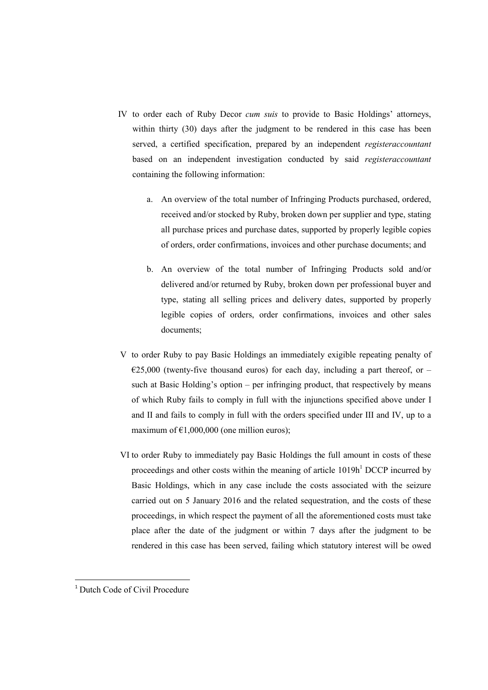- IV to order each of Ruby Decor *cum suis* to provide to Basic Holdings' attorneys, within thirty (30) days after the judgment to be rendered in this case has been served, a certified specification, prepared by an independent *registeraccountant* based on an independent investigation conducted by said *registeraccountant* containing the following information:
	- a. An overview of the total number of Infringing Products purchased, ordered, received and/or stocked by Ruby, broken down per supplier and type, stating all purchase prices and purchase dates, supported by properly legible copies of orders, order confirmations, invoices and other purchase documents; and
	- b. An overview of the total number of Infringing Products sold and/or delivered and/or returned by Ruby, broken down per professional buyer and type, stating all selling prices and delivery dates, supported by properly legible copies of orders, order confirmations, invoices and other sales documents;
- V to order Ruby to pay Basic Holdings an immediately exigible repeating penalty of  $E25,000$  (twenty-five thousand euros) for each day, including a part thereof, or – such at Basic Holding's option – per infringing product, that respectively by means of which Ruby fails to comply in full with the injunctions specified above under I and II and fails to comply in full with the orders specified under III and IV, up to a maximum of  $£1,000,000$  (one million euros);
- VI to order Ruby to immediately pay Basic Holdings the full amount in costs of these proceedings and other costs within the meaning of article  $1019h<sup>1</sup> DCCP$  incurred by Basic Holdings, which in any case include the costs associated with the seizure carried out on 5 January 2016 and the related sequestration, and the costs of these proceedings, in which respect the payment of all the aforementioned costs must take place after the date of the judgment or within 7 days after the judgment to be rendered in this case has been served, failing which statutory interest will be owed

<u>.</u>

<sup>&</sup>lt;sup>1</sup> Dutch Code of Civil Procedure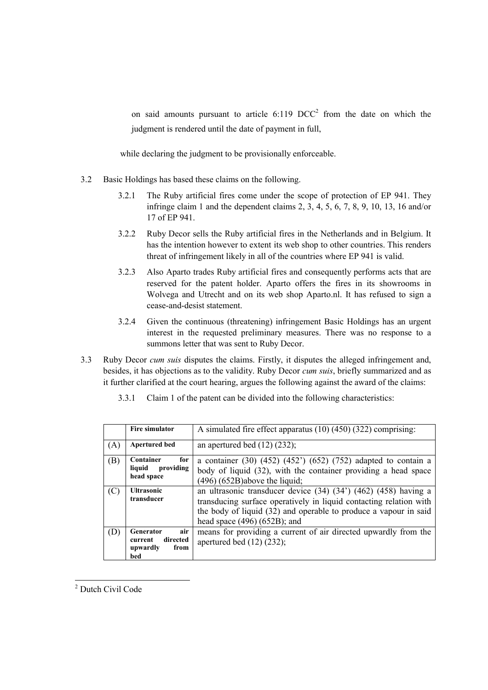on said amounts pursuant to article  $6:119$  DCC<sup>2</sup> from the date on which the judgment is rendered until the date of payment in full,

while declaring the judgment to be provisionally enforceable.

- 3.2 Basic Holdings has based these claims on the following.
	- 3.2.1 The Ruby artificial fires come under the scope of protection of EP 941. They infringe claim 1 and the dependent claims 2, 3, 4, 5, 6, 7, 8, 9, 10, 13, 16 and/or 17 of EP 941.
	- 3.2.2 Ruby Decor sells the Ruby artificial fires in the Netherlands and in Belgium. It has the intention however to extent its web shop to other countries. This renders threat of infringement likely in all of the countries where EP 941 is valid.
	- 3.2.3 Also Aparto trades Ruby artificial fires and consequently performs acts that are reserved for the patent holder. Aparto offers the fires in its showrooms in Wolvega and Utrecht and on its web shop Aparto.nl. It has refused to sign a cease-and-desist statement.
	- 3.2.4 Given the continuous (threatening) infringement Basic Holdings has an urgent interest in the requested preliminary measures. There was no response to a summons letter that was sent to Ruby Decor.
- 3.3 Ruby Decor *cum suis* disputes the claims. Firstly, it disputes the alleged infringement and, besides, it has objections as to the validity. Ruby Decor *cum suis*, briefly summarized and as it further clarified at the court hearing, argues the following against the award of the claims:

|  | 3.3.1 Claim 1 of the patent can be divided into the following characteristics: |  |  |  |
|--|--------------------------------------------------------------------------------|--|--|--|
|--|--------------------------------------------------------------------------------|--|--|--|

|     | <b>Fire simulator</b>                                                     | A simulated fire effect apparatus $(10)$ $(450)$ $(322)$ comprising:                                                                                                                                                                                   |  |
|-----|---------------------------------------------------------------------------|--------------------------------------------------------------------------------------------------------------------------------------------------------------------------------------------------------------------------------------------------------|--|
| (A) | <b>Apertured bed</b>                                                      | an apertured bed $(12)$ $(232)$ ;                                                                                                                                                                                                                      |  |
| (B) | Container<br>for<br>providing<br>liquid<br>head space                     | a container $(30)$ $(452)$ $(452)$ $(652)$ $(752)$ adapted to contain a<br>body of liquid (32), with the container providing a head space<br>$(496)$ $(652B)$ above the liquid;                                                                        |  |
| (C) | <b>Ultrasonic</b><br>transducer                                           | an ultrasonic transducer device $(34)$ $(34')$ $(462)$ $(458)$ having a<br>transducing surface operatively in liquid contacting relation with<br>the body of liquid (32) and operable to produce a vapour in said<br>head space $(496)$ $(652B)$ ; and |  |
| (D) | air<br><b>Generator</b><br>directed<br>current<br>upwardly<br>from<br>bed | means for providing a current of air directed upwardly from the<br>apertured bed $(12)$ $(232)$ ;                                                                                                                                                      |  |

<sup>&</sup>lt;u>.</u> <sup>2</sup> Dutch Civil Code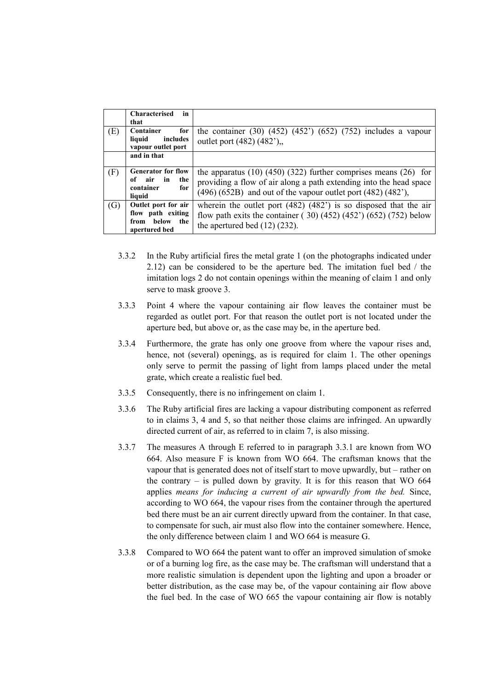|     | in<br><b>Characterised</b><br>that                                             |                                                                                                                                                                                                                       |
|-----|--------------------------------------------------------------------------------|-----------------------------------------------------------------------------------------------------------------------------------------------------------------------------------------------------------------------|
| (E) | Container<br>for<br>liquid<br>includes<br>vapour outlet port                   | the container $(30)$ $(452)$ $(452)$ $(652)$ $(752)$ includes a vapour<br>outlet port (482) (482').                                                                                                                   |
|     | and in that                                                                    |                                                                                                                                                                                                                       |
| (F) | <b>Generator for flow</b><br>of air in<br>the<br>container<br>for<br>liquid    | the apparatus $(10)$ $(450)$ $(322)$ further comprises means $(26)$ for<br>providing a flow of air along a path extending into the head space<br>$(496)$ $(652B)$ and out of the vapour outlet port $(482)$ $(482)$ , |
| (G) | Outlet port for air<br>flow path exiting<br>from below<br>the<br>apertured bed | wherein the outlet port $(482)$ $(482)$ is so disposed that the air<br>flow path exits the container $(30)$ (452) (452') (652) (752) below<br>the apertured bed $(12)$ $(232)$ .                                      |

- 3.3.2 In the Ruby artificial fires the metal grate 1 (on the photographs indicated under 2.12) can be considered to be the aperture bed. The imitation fuel bed / the imitation logs 2 do not contain openings within the meaning of claim 1 and only serve to mask groove 3.
- 3.3.3 Point 4 where the vapour containing air flow leaves the container must be regarded as outlet port. For that reason the outlet port is not located under the aperture bed, but above or, as the case may be, in the aperture bed.
- 3.3.4 Furthermore, the grate has only one groove from where the vapour rises and, hence, not (several) openings, as is required for claim 1. The other openings only serve to permit the passing of light from lamps placed under the metal grate, which create a realistic fuel bed.
- 3.3.5 Consequently, there is no infringement on claim 1.
- 3.3.6 The Ruby artificial fires are lacking a vapour distributing component as referred to in claims 3, 4 and 5, so that neither those claims are infringed. An upwardly directed current of air, as referred to in claim 7, is also missing.
- 3.3.7 The measures A through E referred to in paragraph 3.3.1 are known from WO 664. Also measure F is known from WO 664. The craftsman knows that the vapour that is generated does not of itself start to move upwardly, but – rather on the contrary  $-$  is pulled down by gravity. It is for this reason that WO 664 applies *means for inducing a current of air upwardly from the bed.* Since, according to WO 664, the vapour rises from the container through the apertured bed there must be an air current directly upward from the container. In that case, to compensate for such, air must also flow into the container somewhere. Hence, the only difference between claim 1 and WO 664 is measure G.
- 3.3.8 Compared to WO 664 the patent want to offer an improved simulation of smoke or of a burning log fire, as the case may be. The craftsman will understand that a more realistic simulation is dependent upon the lighting and upon a broader or better distribution, as the case may be, of the vapour containing air flow above the fuel bed. In the case of WO 665 the vapour containing air flow is notably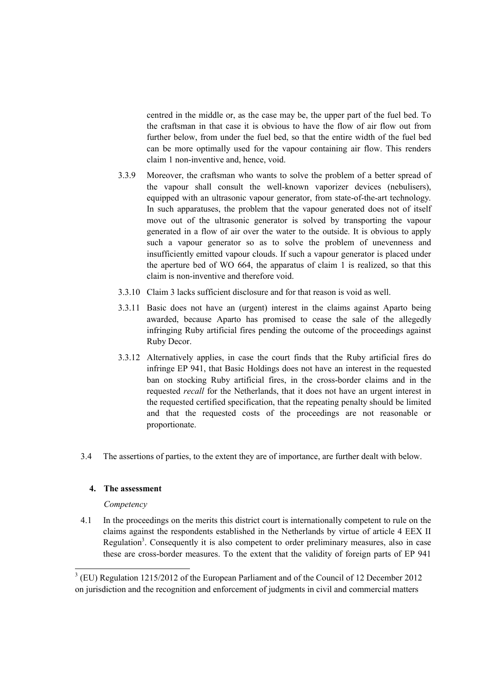centred in the middle or, as the case may be, the upper part of the fuel bed. To the craftsman in that case it is obvious to have the flow of air flow out from further below, from under the fuel bed, so that the entire width of the fuel bed can be more optimally used for the vapour containing air flow. This renders claim 1 non-inventive and, hence, void.

- 3.3.9 Moreover, the craftsman who wants to solve the problem of a better spread of the vapour shall consult the well-known vaporizer devices (nebulisers), equipped with an ultrasonic vapour generator, from state-of-the-art technology. In such apparatuses, the problem that the vapour generated does not of itself move out of the ultrasonic generator is solved by transporting the vapour generated in a flow of air over the water to the outside. It is obvious to apply such a vapour generator so as to solve the problem of unevenness and insufficiently emitted vapour clouds. If such a vapour generator is placed under the aperture bed of WO 664, the apparatus of claim 1 is realized, so that this claim is non-inventive and therefore void.
- 3.3.10 Claim 3 lacks sufficient disclosure and for that reason is void as well.
- 3.3.11 Basic does not have an (urgent) interest in the claims against Aparto being awarded, because Aparto has promised to cease the sale of the allegedly infringing Ruby artificial fires pending the outcome of the proceedings against Ruby Decor.
- 3.3.12 Alternatively applies, in case the court finds that the Ruby artificial fires do infringe EP 941, that Basic Holdings does not have an interest in the requested ban on stocking Ruby artificial fires, in the cross-border claims and in the requested *recall* for the Netherlands, that it does not have an urgent interest in the requested certified specification, that the repeating penalty should be limited and that the requested costs of the proceedings are not reasonable or proportionate.
- 3.4 The assertions of parties, to the extent they are of importance, are further dealt with below.

## **4. The assessment**

## *Competency*

<u>.</u>

4.1 In the proceedings on the merits this district court is internationally competent to rule on the claims against the respondents established in the Netherlands by virtue of article 4 EEX II Regulation<sup>3</sup>. Consequently it is also competent to order preliminary measures, also in case these are cross-border measures. To the extent that the validity of foreign parts of EP 941

 $3$  (EU) Regulation 1215/2012 of the European Parliament and of the Council of 12 December 2012 on jurisdiction and the recognition and enforcement of judgments in civil and commercial matters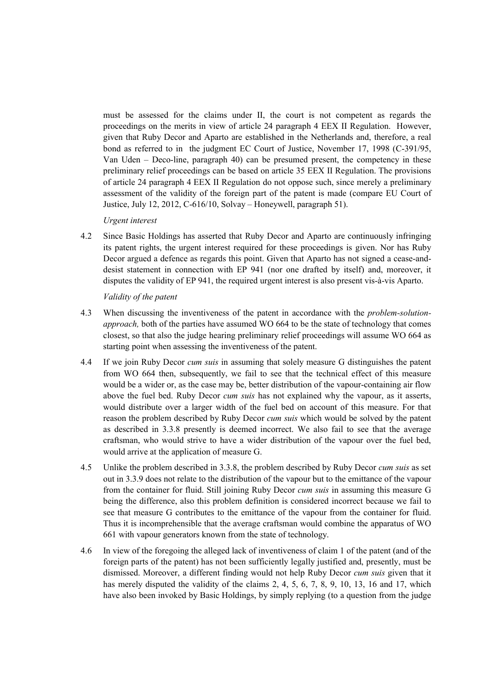must be assessed for the claims under II, the court is not competent as regards the proceedings on the merits in view of article 24 paragraph 4 EEX II Regulation. However, given that Ruby Decor and Aparto are established in the Netherlands and, therefore, a real bond as referred to in the judgment EC Court of Justice, November 17, 1998 (C-391/95, Van Uden – Deco-line, paragraph 40) can be presumed present, the competency in these preliminary relief proceedings can be based on article 35 EEX II Regulation. The provisions of article 24 paragraph 4 EEX II Regulation do not oppose such, since merely a preliminary assessment of the validity of the foreign part of the patent is made (compare EU Court of Justice, July 12, 2012, C-616/10, Solvay – Honeywell, paragraph 51).

#### *Urgent interest*

4.2 Since Basic Holdings has asserted that Ruby Decor and Aparto are continuously infringing its patent rights, the urgent interest required for these proceedings is given. Nor has Ruby Decor argued a defence as regards this point. Given that Aparto has not signed a cease-anddesist statement in connection with EP 941 (nor one drafted by itself) and, moreover, it disputes the validity of EP 941, the required urgent interest is also present vis-à-vis Aparto.

*Validity of the patent*

- 4.3 When discussing the inventiveness of the patent in accordance with the *problem-solutionapproach,* both of the parties have assumed WO 664 to be the state of technology that comes closest, so that also the judge hearing preliminary relief proceedings will assume WO 664 as starting point when assessing the inventiveness of the patent.
- 4.4 If we join Ruby Decor *cum suis* in assuming that solely measure G distinguishes the patent from WO 664 then, subsequently, we fail to see that the technical effect of this measure would be a wider or, as the case may be, better distribution of the vapour-containing air flow above the fuel bed. Ruby Decor *cum suis* has not explained why the vapour, as it asserts, would distribute over a larger width of the fuel bed on account of this measure. For that reason the problem described by Ruby Decor *cum suis* which would be solved by the patent as described in 3.3.8 presently is deemed incorrect. We also fail to see that the average craftsman, who would strive to have a wider distribution of the vapour over the fuel bed, would arrive at the application of measure G.
- 4.5 Unlike the problem described in 3.3.8, the problem described by Ruby Decor *cum suis* as set out in 3.3.9 does not relate to the distribution of the vapour but to the emittance of the vapour from the container for fluid. Still joining Ruby Decor *cum suis* in assuming this measure G being the difference, also this problem definition is considered incorrect because we fail to see that measure G contributes to the emittance of the vapour from the container for fluid. Thus it is incomprehensible that the average craftsman would combine the apparatus of WO 661 with vapour generators known from the state of technology.
- 4.6 In view of the foregoing the alleged lack of inventiveness of claim 1 of the patent (and of the foreign parts of the patent) has not been sufficiently legally justified and, presently, must be dismissed. Moreover, a different finding would not help Ruby Decor *cum suis* given that it has merely disputed the validity of the claims 2, 4, 5, 6, 7, 8, 9, 10, 13, 16 and 17, which have also been invoked by Basic Holdings, by simply replying (to a question from the judge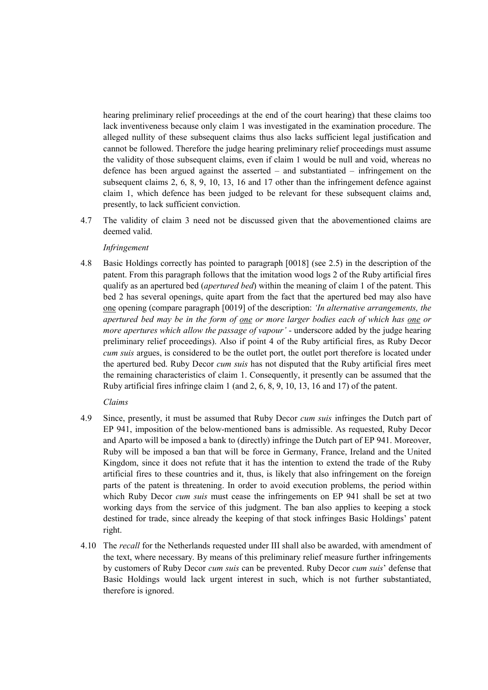hearing preliminary relief proceedings at the end of the court hearing) that these claims too lack inventiveness because only claim 1 was investigated in the examination procedure. The alleged nullity of these subsequent claims thus also lacks sufficient legal justification and cannot be followed. Therefore the judge hearing preliminary relief proceedings must assume the validity of those subsequent claims, even if claim 1 would be null and void, whereas no defence has been argued against the asserted – and substantiated – infringement on the subsequent claims 2, 6, 8, 9, 10, 13, 16 and 17 other than the infringement defence against claim 1, which defence has been judged to be relevant for these subsequent claims and, presently, to lack sufficient conviction.

4.7 The validity of claim 3 need not be discussed given that the abovementioned claims are deemed valid.

#### *Infringement*

4.8 Basic Holdings correctly has pointed to paragraph [0018] (see 2.5) in the description of the patent. From this paragraph follows that the imitation wood logs 2 of the Ruby artificial fires qualify as an apertured bed (*apertured bed*) within the meaning of claim 1 of the patent. This bed 2 has several openings, quite apart from the fact that the apertured bed may also have one opening (compare paragraph [0019] of the description: *'In alternative arrangements, the apertured bed may be in the form of one or more larger bodies each of which has one or more apertures which allow the passage of vapour'* - underscore added by the judge hearing preliminary relief proceedings). Also if point 4 of the Ruby artificial fires, as Ruby Decor *cum suis* argues, is considered to be the outlet port, the outlet port therefore is located under the apertured bed. Ruby Decor *cum suis* has not disputed that the Ruby artificial fires meet the remaining characteristics of claim 1. Consequently, it presently can be assumed that the Ruby artificial fires infringe claim 1 (and 2, 6, 8, 9, 10, 13, 16 and 17) of the patent.

## *Claims*

- 4.9 Since, presently, it must be assumed that Ruby Decor *cum suis* infringes the Dutch part of EP 941, imposition of the below-mentioned bans is admissible. As requested, Ruby Decor and Aparto will be imposed a bank to (directly) infringe the Dutch part of EP 941. Moreover, Ruby will be imposed a ban that will be force in Germany, France, Ireland and the United Kingdom, since it does not refute that it has the intention to extend the trade of the Ruby artificial fires to these countries and it, thus, is likely that also infringement on the foreign parts of the patent is threatening. In order to avoid execution problems, the period within which Ruby Decor *cum suis* must cease the infringements on EP 941 shall be set at two working days from the service of this judgment. The ban also applies to keeping a stock destined for trade, since already the keeping of that stock infringes Basic Holdings' patent right.
- 4.10 The *recall* for the Netherlands requested under III shall also be awarded, with amendment of the text, where necessary. By means of this preliminary relief measure further infringements by customers of Ruby Decor *cum suis* can be prevented. Ruby Decor *cum suis*' defense that Basic Holdings would lack urgent interest in such, which is not further substantiated, therefore is ignored.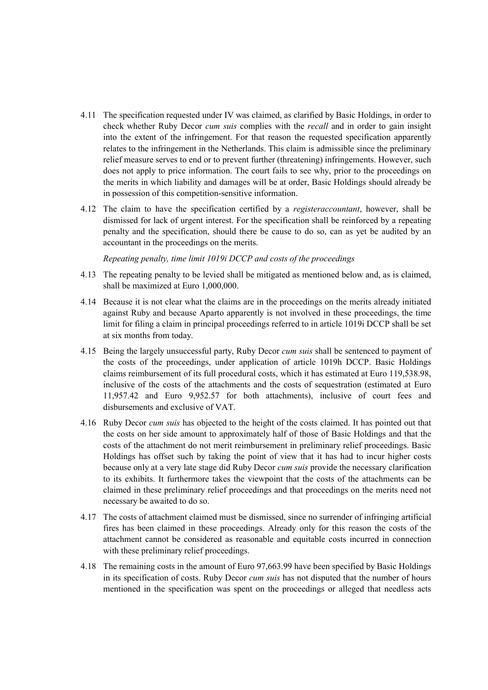- 4.11 The specification requested under IV was claimed, as clarified by Basic Holdings, in order to check whether Ruby Decor *cum suis* complies with the *recall* and in order to gain insight into the extent of the infringement. For that reason the requested specification apparently relates to the infringement in the Netherlands. This claim is admissible since the preliminary relief measure serves to end or to prevent further (threatening) infringements. However, such does not apply to price information. The court fails to see why, prior to the proceedings on the merits in which liability and damages will be at order, Basic Holdings should already be in possession of this competition-sensitive information.
- 4.12 The claim to have the specification certified by a *registeraccountant*, however, shall be dismissed for lack of urgent interest. For the specification shall be reinforced by a repeating penalty and the specification, should there be cause to do so, can as yet be audited by an accountant in the proceedings on the merits.

*Repeating penalty, time limit 1019i DCCP and costs of the proceedings*

- 4.13 The repeating penalty to be levied shall be mitigated as mentioned below and, as is claimed, shall be maximized at Euro 1,000,000.
- 4.14 Because it is not clear what the claims are in the proceedings on the merits already initiated against Ruby and because Aparto apparently is not involved in these proceedings, the time limit for filing a claim in principal proceedings referred to in article 1019i DCCP shall be set at six months from today.
- 4.15 Being the largely unsuccessful party, Ruby Decor *cum suis* shall be sentenced to payment of the costs of the proceedings, under application of article 1019h DCCP. Basic Holdings claims reimbursement of its full procedural costs, which it has estimated at Euro 119,538.98, inclusive of the costs of the attachments and the costs of sequestration (estimated at Euro 11,957.42 and Euro 9,952.57 for both attachments), inclusive of court fees and disbursements and exclusive of VAT.
- 4.16 Ruby Decor *cum suis* has objected to the height of the costs claimed. It has pointed out that the costs on her side amount to approximately half of those of Basic Holdings and that the costs of the attachment do not merit reimbursement in preliminary relief proceedings. Basic Holdings has offset such by taking the point of view that it has had to incur higher costs because only at a very late stage did Ruby Decor *cum suis* provide the necessary clarification to its exhibits. It furthermore takes the viewpoint that the costs of the attachments can be claimed in these preliminary relief proceedings and that proceedings on the merits need not necessary be awaited to do so.
- 4.17 The costs of attachment claimed must be dismissed, since no surrender of infringing artificial fires has been claimed in these proceedings. Already only for this reason the costs of the attachment cannot be considered as reasonable and equitable costs incurred in connection with these preliminary relief proceedings.
- 4.18 The remaining costs in the amount of Euro 97,663.99 have been specified by Basic Holdings in its specification of costs. Ruby Decor *cum suis* has not disputed that the number of hours mentioned in the specification was spent on the proceedings or alleged that needless acts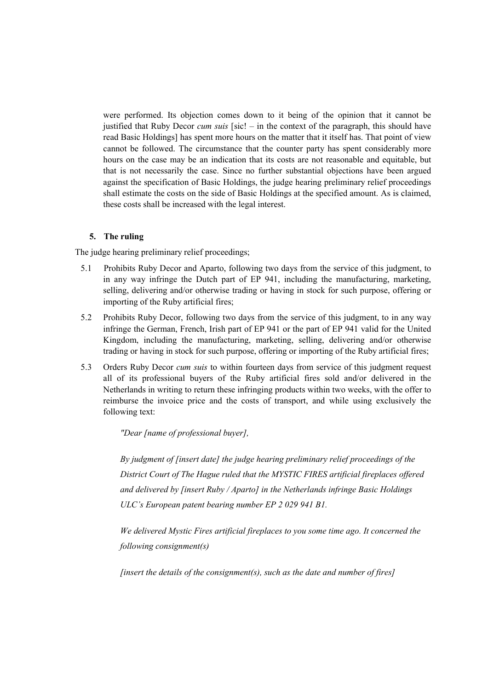were performed. Its objection comes down to it being of the opinion that it cannot be justified that Ruby Decor *cum suis* [sic! – in the context of the paragraph, this should have read Basic Holdings] has spent more hours on the matter that it itself has. That point of view cannot be followed. The circumstance that the counter party has spent considerably more hours on the case may be an indication that its costs are not reasonable and equitable, but that is not necessarily the case. Since no further substantial objections have been argued against the specification of Basic Holdings, the judge hearing preliminary relief proceedings shall estimate the costs on the side of Basic Holdings at the specified amount. As is claimed, these costs shall be increased with the legal interest.

## **5. The ruling**

The judge hearing preliminary relief proceedings;

- 5.1 Prohibits Ruby Decor and Aparto, following two days from the service of this judgment, to in any way infringe the Dutch part of EP 941, including the manufacturing, marketing, selling, delivering and/or otherwise trading or having in stock for such purpose, offering or importing of the Ruby artificial fires;
- 5.2 Prohibits Ruby Decor, following two days from the service of this judgment, to in any way infringe the German, French, Irish part of EP 941 or the part of EP 941 valid for the United Kingdom, including the manufacturing, marketing, selling, delivering and/or otherwise trading or having in stock for such purpose, offering or importing of the Ruby artificial fires;
- 5.3 Orders Ruby Decor *cum suis* to within fourteen days from service of this judgment request all of its professional buyers of the Ruby artificial fires sold and/or delivered in the Netherlands in writing to return these infringing products within two weeks, with the offer to reimburse the invoice price and the costs of transport, and while using exclusively the following text:

*"Dear [name of professional buyer],*

*By judgment of [insert date] the judge hearing preliminary relief proceedings of the District Court of The Hague ruled that the MYSTIC FIRES artificial fireplaces offered and delivered by [insert Ruby / Aparto] in the Netherlands infringe Basic Holdings ULC's European patent bearing number EP 2 029 941 B1.*

*We delivered Mystic Fires artificial fireplaces to you some time ago. It concerned the following consignment(s)*

*[insert the details of the consignment(s), such as the date and number of fires]*